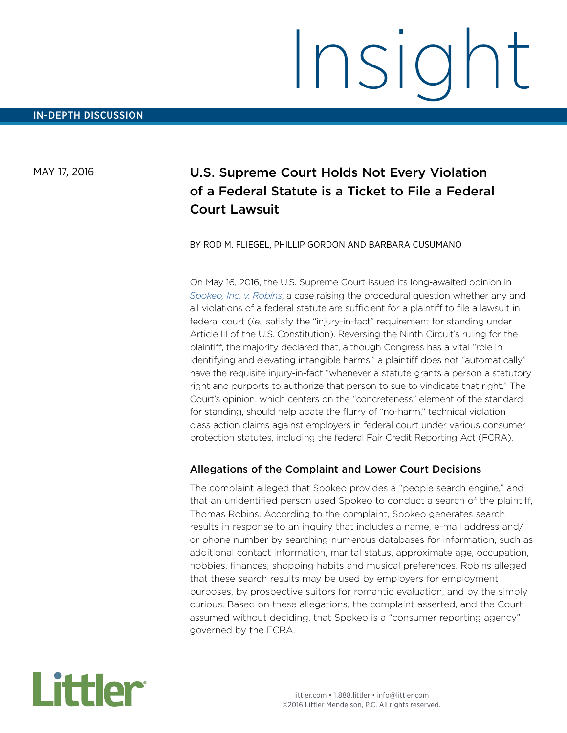# Insight

MAY 17, 2016

# U.S. Supreme Court Holds Not Every Violation of a Federal Statute is a Ticket to File a Federal Court Lawsuit

BY ROD M. FLIEGEL, PHILLIP GORDON AND BARBARA CUSUMANO

On May 16, 2016, the U.S. Supreme Court issued its long-awaited opinion in *[Spokeo, Inc. v. Robins](http://www.supremecourt.gov/opinions/15pdf/13-1339_f2q3.pdf)*, a case raising the procedural question whether any and all violations of a federal statute are sufficient for a plaintiff to file a lawsuit in federal court (*i.e.,* satisfy the "injury-in-fact" requirement for standing under Article III of the U.S. Constitution). Reversing the Ninth Circuit's ruling for the plaintiff, the majority declared that, although Congress has a vital "role in identifying and elevating intangible harms," a plaintiff does not "automatically" have the requisite injury-in-fact "whenever a statute grants a person a statutory right and purports to authorize that person to sue to vindicate that right." The Court's opinion, which centers on the "concreteness" element of the standard for standing, should help abate the flurry of "no-harm," technical violation class action claims against employers in federal court under various consumer protection statutes, including the federal Fair Credit Reporting Act (FCRA).

### Allegations of the Complaint and Lower Court Decisions

The complaint alleged that Spokeo provides a "people search engine," and that an unidentified person used Spokeo to conduct a search of the plaintiff, Thomas Robins. According to the complaint, Spokeo generates search results in response to an inquiry that includes a name, e-mail address and/ or phone number by searching numerous databases for information, such as additional contact information, marital status, approximate age, occupation, hobbies, finances, shopping habits and musical preferences. Robins alleged that these search results may be used by employers for employment purposes, by prospective suitors for romantic evaluation, and by the simply curious. Based on these allegations, the complaint asserted, and the Court assumed without deciding, that Spokeo is a "consumer reporting agency" governed by the FCRA.

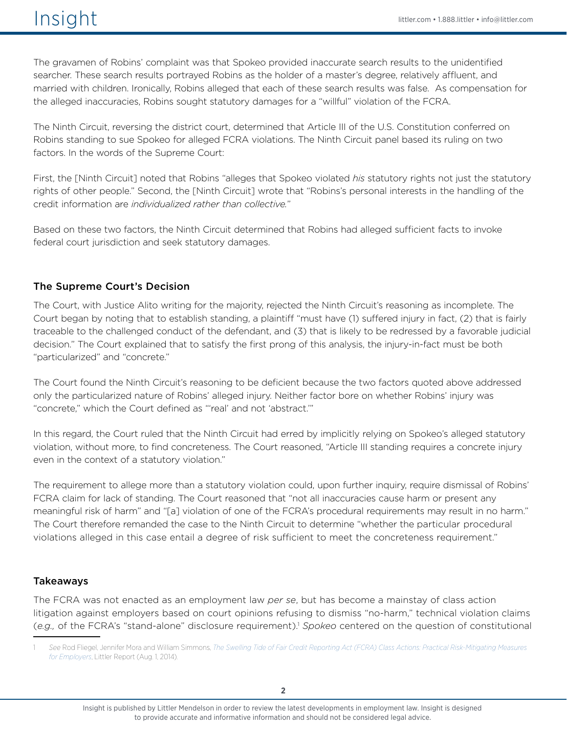The gravamen of Robins' complaint was that Spokeo provided inaccurate search results to the unidentified searcher. These search results portrayed Robins as the holder of a master's degree, relatively affluent, and married with children. Ironically, Robins alleged that each of these search results was false. As compensation for the alleged inaccuracies, Robins sought statutory damages for a "willful" violation of the FCRA.

The Ninth Circuit, reversing the district court, determined that Article III of the U.S. Constitution conferred on Robins standing to sue Spokeo for alleged FCRA violations. The Ninth Circuit panel based its ruling on two factors. In the words of the Supreme Court:

First, the [Ninth Circuit] noted that Robins "alleges that Spokeo violated *his* statutory rights not just the statutory rights of other people." Second, the [Ninth Circuit] wrote that "Robins's personal interests in the handling of the credit information are *individualized rather than collective.*"

Based on these two factors, the Ninth Circuit determined that Robins had alleged sufficient facts to invoke federal court jurisdiction and seek statutory damages.

# The Supreme Court's Decision

The Court, with Justice Alito writing for the majority, rejected the Ninth Circuit's reasoning as incomplete. The Court began by noting that to establish standing, a plaintiff "must have (1) suffered injury in fact, (2) that is fairly traceable to the challenged conduct of the defendant, and (3) that is likely to be redressed by a favorable judicial decision." The Court explained that to satisfy the first prong of this analysis, the injury-in-fact must be both "particularized" and "concrete."

The Court found the Ninth Circuit's reasoning to be deficient because the two factors quoted above addressed only the particularized nature of Robins' alleged injury. Neither factor bore on whether Robins' injury was "concrete," which the Court defined as "'real' and not 'abstract.'"

In this regard, the Court ruled that the Ninth Circuit had erred by implicitly relying on Spokeo's alleged statutory violation, without more, to find concreteness. The Court reasoned, "Article III standing requires a concrete injury even in the context of a statutory violation."

The requirement to allege more than a statutory violation could, upon further inquiry, require dismissal of Robins' FCRA claim for lack of standing. The Court reasoned that "not all inaccuracies cause harm or present any meaningful risk of harm" and "[a] violation of one of the FCRA's procedural requirements may result in no harm." The Court therefore remanded the case to the Ninth Circuit to determine "whether the particular procedural violations alleged in this case entail a degree of risk sufficient to meet the concreteness requirement."

## Takeaways

The FCRA was not enacted as an employment law *per se*, but has become a mainstay of class action litigation against employers based on court opinions refusing to dismiss "no-harm," technical violation claims (*e.g.,* of the FCRA's "stand-alone" disclosure requirement).1 *Spokeo* centered on the question of constitutional

<sup>1</sup> *See* Rod Fliegel, Jennifer Mora and William Simmons, *[The Swelling Tide of Fair Credit Reporting Act \(FCRA\) Class Actions: Practical Risk-Mitigating Measures](http://www.littler.com/swelling-tide-fair-credit-reporting-act-fcra-class-actions-practical-risk-mitigating-measures)  [for Employers](http://www.littler.com/swelling-tide-fair-credit-reporting-act-fcra-class-actions-practical-risk-mitigating-measures)*, Littler Report (Aug. 1, 2014).